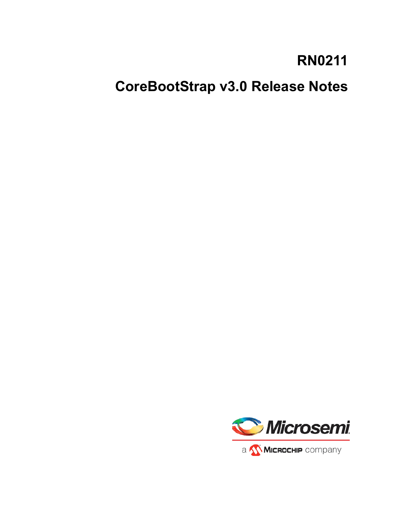# **RN0211**

**CoreBootStrap v3.0 Release Notes**

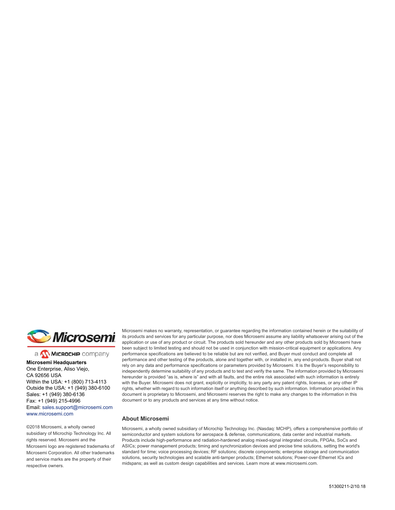

a MICROCHIP company

**Microsemi Headquarters** One Enterprise, Aliso Viejo, CA 92656 USA Within the USA: +1 (800) 713-4113 Outside the USA: +1 (949) 380-6100 Sales: +1 (949) 380-6136 Fax: +1 (949) 215-4996 Email: [sales.support@microsemi.com](mailto:sales.support@microsemi.com) [www.microsemi.com](http://www.microsemi.com)

©2018 Microsemi, a wholly owned subsidiary of Microchip Technology Inc. All rights reserved. Microsemi and the Microsemi logo are registered trademarks of Microsemi Corporation. All other trademarks and service marks are the property of their respective owners.

Microsemi makes no warranty, representation, or guarantee regarding the information contained herein or the suitability of its products and services for any particular purpose, nor does Microsemi assume any liability whatsoever arising out of the application or use of any product or circuit. The products sold hereunder and any other products sold by Microsemi have been subject to limited testing and should not be used in conjunction with mission-critical equipment or applications. Any performance specifications are believed to be reliable but are not verified, and Buyer must conduct and complete all performance and other testing of the products, alone and together with, or installed in, any end-products. Buyer shall not rely on any data and performance specifications or parameters provided by Microsemi. It is the Buyer's responsibility to independently determine suitability of any products and to test and verify the same. The information provided by Microsemi hereunder is provided "as is, where is" and with all faults, and the entire risk associated with such information is entirely with the Buyer. Microsemi does not grant, explicitly or implicitly, to any party any patent rights, licenses, or any other IP rights, whether with regard to such information itself or anything described by such information. Information provided in this document is proprietary to Microsemi, and Microsemi reserves the right to make any changes to the information in this document or to any products and services at any time without notice.

#### **About Microsemi**

Microsemi, a wholly owned subsidiary of Microchip Technology Inc. (Nasdaq: MCHP), offers a comprehensive portfolio of semiconductor and system solutions for aerospace & defense, communications, data center and industrial markets. Products include high-performance and radiation-hardened analog mixed-signal integrated circuits, FPGAs, SoCs and ASICs; power management products; timing and synchronization devices and precise time solutions, setting the world's standard for time; voice processing devices; RF solutions; discrete components; enterprise storage and communication solutions, security technologies and scalable anti-tamper products; Ethernet solutions; Power-over-Ethernet ICs and midspans; as well as custom design capabilities and services. Learn more at www.microsemi.com.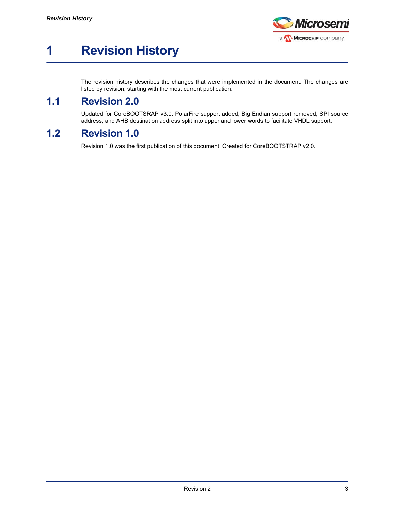

## <span id="page-2-0"></span>**1 Revision History**

The revision history describes the changes that were implemented in the document. The changes are listed by revision, starting with the most current publication.

#### <span id="page-2-1"></span>**1.1 Revision 2.0**

Updated for CoreBOOTSRAP v3.0. PolarFire support added, Big Endian support removed, SPI source address, and AHB destination address split into upper and lower words to facilitate VHDL support.

#### <span id="page-2-2"></span>**1.2 Revision 1.0**

Revision 1.0 was the first publication of this document. Created for CoreBOOTSTRAP v2.0.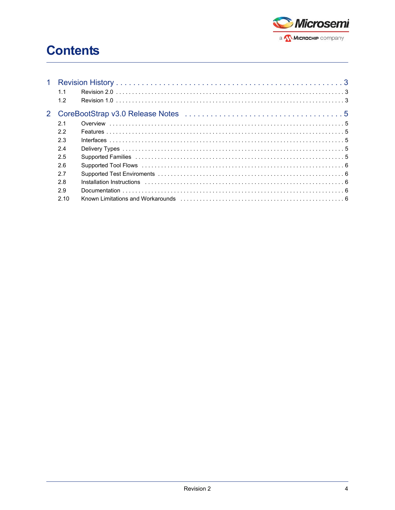

## **Contents**

| $\mathbf{1}$ |      |  |  |
|--------------|------|--|--|
|              | 1.1  |  |  |
|              | 1.2  |  |  |
|              |      |  |  |
|              | 2.1  |  |  |
|              | 2.2  |  |  |
|              | 2.3  |  |  |
|              | 2.4  |  |  |
|              | 2.5  |  |  |
|              | 2.6  |  |  |
|              | 2.7  |  |  |
|              | 2.8  |  |  |
|              | 2.9  |  |  |
|              | 2.10 |  |  |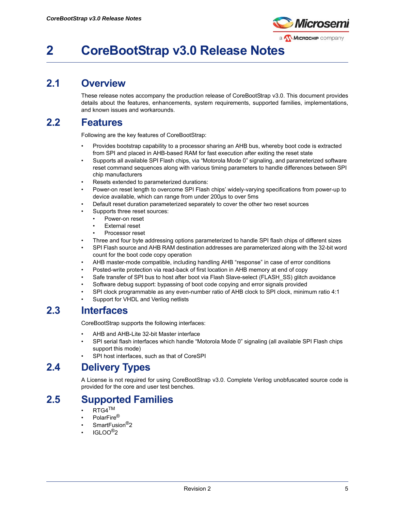

## <span id="page-4-0"></span>**2 CoreBootStrap v3.0 Release Notes**

#### <span id="page-4-1"></span>**2.1 Overview**

These release notes accompany the production release of CoreBootStrap v3.0. This document provides details about the features, enhancements, system requirements, supported families, implementations, and known issues and workarounds.

#### <span id="page-4-2"></span>**2.2 Features**

Following are the key features of CoreBootStrap:

- Provides bootstrap capability to a processor sharing an AHB bus, whereby boot code is extracted from SPI and placed in AHB-based RAM for fast execution after exiting the reset state
- Supports all available SPI Flash chips, via "Motorola Mode 0" signaling, and parameterized software reset command sequences along with various timing parameters to handle differences between SPI chip manufacturers
- Resets extended to parameterized durations:
- Power-on reset length to overcome SPI Flash chips' widely-varying specifications from power-up to device available, which can range from under 200µs to over 5ms
- Default reset duration parameterized separately to cover the other two reset sources
	- Supports three reset sources:
		- Power-on reset
		- **External reset**
		- Processor reset
- Three and four byte addressing options parameterized to handle SPI flash chips of different sizes
- SPI Flash source and AHB RAM destination addresses are parameterized along with the 32-bit word count for the boot code copy operation
- AHB master-mode compatible, including handling AHB "response" in case of error conditions
- Posted-write protection via read-back of first location in AHB memory at end of copy
- Safe transfer of SPI bus to host after boot via Flash Slave-select (FLASH SS) glitch avoidance
- Software debug support: bypassing of boot code copying and error signals provided
- SPI clock programmable as any even-number ratio of AHB clock to SPI clock, minimum ratio 4:1
- Support for VHDL and Verilog netlists

#### <span id="page-4-3"></span>**2.3 Interfaces**

CoreBootStrap supports the following interfaces:

- AHB and AHB-Lite 32-bit Master interface
- SPI serial flash interfaces which handle "Motorola Mode 0" signaling (all available SPI Flash chips support this mode)
- SPI host interfaces, such as that of CoreSPI

#### <span id="page-4-4"></span>**2.4 Delivery Types**

A License is not required for using CoreBootStrap v3.0. Complete Verilog unobfuscated source code is provided for the core and user test benches.

#### <span id="page-4-5"></span>**2.5 Supported Families**

- $RTG4^{TM}$
- PolarFire<sup>®</sup>
- SmartFusion<sup>®</sup>2
- $IGI$   $OO<sup>®</sup>2$